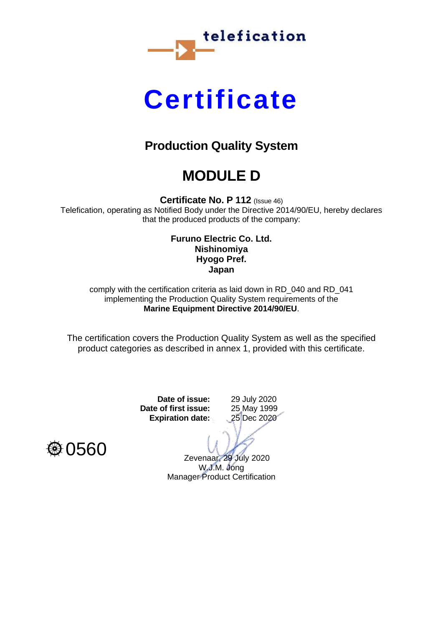

## **Certificate**

## **Production Quality System**

## **MODULE D**

**Certificate No. P 112** (Issue 46)

Telefication, operating as Notified Body under the Directive 2014/90/EU, hereby declares that the produced products of the company:

## **Furuno Electric Co. Ltd. Nishinomiya Hyogo Pref. Japan**

comply with the certification criteria as laid down in RD\_040 and RD\_041 implementing the Production Quality System requirements of the **Marine Equipment Directive 2014/90/EU**.

The certification covers the Production Quality System as well as the specified product categories as described in annex 1, provided with this certificate.

> **Date of issue:** 29 July 2020 **Date of first issue:** 25 May 1999 **Expiration date:** 25 Dec 2020

**@0560** 

Zevenaar, 29 July 2020 W.J.M. Jong Manager Product Certification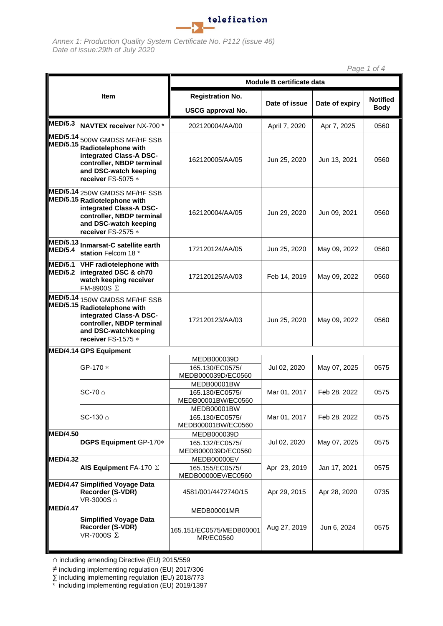

|                                  | Page 1 of 4                                                                                                                                                          |                                                      |               |                |                 |  |
|----------------------------------|----------------------------------------------------------------------------------------------------------------------------------------------------------------------|------------------------------------------------------|---------------|----------------|-----------------|--|
| <b>Item</b>                      |                                                                                                                                                                      | Module B certificate data                            |               |                |                 |  |
|                                  |                                                                                                                                                                      | <b>Registration No.</b>                              |               | Date of expiry | <b>Notified</b> |  |
|                                  |                                                                                                                                                                      | <b>USCG approval No.</b>                             | Date of issue |                | <b>Body</b>     |  |
| <b>MED/5.3</b>                   | NAVTEX receiver NX-700 *                                                                                                                                             | 202120004/AA/00                                      | April 7, 2020 | Apr 7, 2025    | 0560            |  |
| MED/5.15                         | MED/5.14 500W GMDSS MF/HF SSB<br>Radiotelephone with<br>integrated Class-A DSC-<br>controller, NBDP terminal<br>and DSC-watch keeping<br>receiver FS-5075 *          | 162120005/AA/05                                      | Jun 25, 2020  | Jun 13, 2021   | 0560            |  |
|                                  | MED/5.14 250W GMDSS MF/HF SSB<br>MED/5.15 Radiotelephone with<br>integrated Class-A DSC-<br>controller, NBDP terminal<br>and DSC-watch keeping<br>receiver FS-2575 * | 162120004/AA/05                                      | Jun 29, 2020  | Jun 09, 2021   | 0560            |  |
| <b>MED/5.4</b>                   | MED/5.13 Inmarsat-C satellite earth<br>station Felcom 18 *                                                                                                           | 172120124/AA/05                                      | Jun 25, 2020  | May 09, 2022   | 0560            |  |
| <b>MED/5.1</b><br><b>MED/5.2</b> | <b>VHF radiotelephone with</b><br>integrated DSC & ch70<br>watch keeping receiver<br>FM-8900S ∑                                                                      | 172120125/AA/03                                      | Feb 14, 2019  | May 09, 2022   | 0560            |  |
|                                  | MED/5.14 150W GMDSS MF/HF SSB<br>MED/5.15 Radiotelephone with<br>integrated Class-A DSC-<br>controller, NBDP terminal<br>and DSC-watchkeeping<br>receiver FS-1575 *  | 172120123/AA/03                                      | Jun 25, 2020  | May 09, 2022   | 0560            |  |
|                                  | MED/4.14 GPS Equipment                                                                                                                                               |                                                      |               |                |                 |  |
|                                  | GP-170 *                                                                                                                                                             | MEDB000039D<br>165.130/EC0575/<br>MEDB000039D/EC0560 | Jul 02, 2020  | May 07, 2025   | 0575            |  |
|                                  |                                                                                                                                                                      | MEDB00001BW<br>165.130/EC0575/<br>MEDB00001BW/EC0560 | Mar 01, 2017  | Feb 28, 2022   | 0575            |  |
|                                  | SC-130 ∆                                                                                                                                                             | MEDB00001BW<br>165.130/EC0575/<br>MEDB00001BW/EC0560 | Mar 01, 2017  | Feb 28, 2022   | 0575            |  |
| <b>MED/4.50</b>                  | DGPS Equipment GP-170*                                                                                                                                               | MEDB000039D<br>165.132/EC0575/<br>MEDB000039D/EC0560 | Jul 02, 2020  | May 07, 2025   | 0575            |  |
| <b>MED/4.32</b>                  | AIS Equipment FA-170 $\Sigma$                                                                                                                                        | MEDB00000EV<br>165.155/EC0575/<br>MEDB00000EV/EC0560 | Apr 23, 2019  | Jan 17, 2021   | 0575            |  |
|                                  | MED/4.47 Simplified Voyage Data<br>Recorder (S-VDR)<br>VR-3000S △                                                                                                    | 4581/001/4472740/15                                  | Apr 29, 2015  | Apr 28, 2020   | 0735            |  |
| <b>MED/4.47</b>                  |                                                                                                                                                                      | MEDB00001MR                                          |               |                |                 |  |
|                                  | <b>Simplified Voyage Data</b><br>Recorder (S-VDR)<br>VR-7000S Σ                                                                                                      | 165.151/EC0575/MEDB00001<br><b>MR/EC0560</b>         | Aug 27, 2019  | Jun 6, 2024    | 0575            |  |

⌂ including amending Directive (EU) 2015/559

≠ including implementing regulation (EU) 2017/306

∑ including implementing regulation (EU) 2018/773

\* including implementing regulation (EU) 2019/1397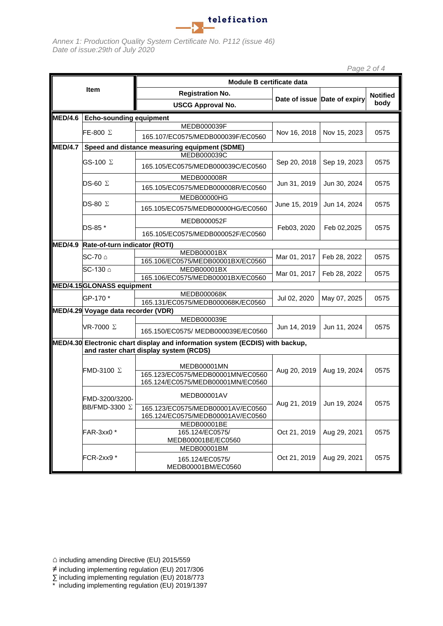

|--|--|--|--|--|

| Item           |                                                                                                                         | Module B certificate data                        |                              |                                                                                             |                 |  |
|----------------|-------------------------------------------------------------------------------------------------------------------------|--------------------------------------------------|------------------------------|---------------------------------------------------------------------------------------------|-----------------|--|
|                |                                                                                                                         | <b>Registration No.</b>                          | Date of issue Date of expiry |                                                                                             | <b>Notified</b> |  |
|                |                                                                                                                         | <b>USCG Approval No.</b>                         |                              |                                                                                             | body            |  |
| <b>MED/4.6</b> | <b>Echo-sounding equipment</b>                                                                                          |                                                  |                              |                                                                                             |                 |  |
|                |                                                                                                                         | MEDB000039F                                      |                              |                                                                                             |                 |  |
|                | FE-800 Σ                                                                                                                | 165.107/EC0575/MEDB000039F/EC0560                | Nov 16, 2018                 | Nov 15, 2023                                                                                | 0575            |  |
| <b>MED/4.7</b> |                                                                                                                         | Speed and distance measuring equipment (SDME)    |                              |                                                                                             |                 |  |
|                | GS-100 ∑                                                                                                                | MEDB000039C                                      |                              |                                                                                             |                 |  |
|                |                                                                                                                         | 165.105/EC0575/MEDB000039C/EC0560                | Sep 20, 2018                 | Sep 19, 2023                                                                                | 0575            |  |
|                |                                                                                                                         | <b>MEDB000008R</b>                               |                              |                                                                                             |                 |  |
|                | $DS-60$ $\Sigma$                                                                                                        | 165.105/EC0575/MEDB000008R/EC0560                | Jun 31, 2019                 |                                                                                             | 0575            |  |
|                |                                                                                                                         | MEDB00000HG                                      |                              |                                                                                             |                 |  |
|                | DS-80 $\Sigma$                                                                                                          | 165.105/EC0575/MEDB00000HG/EC0560                | June 15, 2019                |                                                                                             | 0575            |  |
|                | DS-85 <sup>*</sup>                                                                                                      | MEDB000052F                                      | Feb03, 2020                  |                                                                                             | 0575            |  |
|                |                                                                                                                         | 165.105/EC0575/MEDB000052F/EC0560                |                              | Jun 30, 2024<br>Jun 14, 2024<br>Feb 02,2025<br>Feb 28, 2022<br>Feb 28, 2022<br>May 07, 2025 |                 |  |
| <b>MED/4.9</b> | Rate-of-turn indicator (ROTI)                                                                                           |                                                  |                              |                                                                                             |                 |  |
|                |                                                                                                                         | MEDB00001BX                                      | Mar 01, 2017                 |                                                                                             | 0575            |  |
|                |                                                                                                                         | 165.106/EC0575/MEDB00001BX/EC0560                |                              |                                                                                             |                 |  |
|                | SC-130 ∆                                                                                                                | MEDB00001BX<br>165.106/EC0575/MEDB00001BX/EC0560 | Mar 01, 2017                 |                                                                                             | 0575            |  |
|                | MED/4.15GLONASS equipment                                                                                               |                                                  |                              |                                                                                             |                 |  |
|                | GP-170 *                                                                                                                | MEDB000068K                                      |                              |                                                                                             | 0575            |  |
|                |                                                                                                                         | 165.131/EC0575/MEDB000068K/EC0560                | Jul 02, 2020                 |                                                                                             |                 |  |
|                | MED/4.29 Voyage data recorder (VDR)                                                                                     |                                                  |                              |                                                                                             |                 |  |
|                | VR-7000 ∑                                                                                                               | MEDB000039E                                      | Jun 14, 2019                 | Jun 11, 2024                                                                                | 0575            |  |
|                |                                                                                                                         | 165.150/EC0575/ MEDB000039E/EC0560               |                              |                                                                                             |                 |  |
|                | MED/4.30 Electronic chart display and information system (ECDIS) with backup,<br>and raster chart display system (RCDS) |                                                  |                              |                                                                                             |                 |  |
|                |                                                                                                                         |                                                  |                              |                                                                                             |                 |  |
|                | FMD-3100 ∑                                                                                                              | MEDB00001MN                                      | Aug 20, 2019<br>Aug 19, 2024 |                                                                                             | 0575            |  |
|                |                                                                                                                         | 165.123/EC0575/MEDB00001MN/EC0560                |                              |                                                                                             |                 |  |
|                |                                                                                                                         | 165.124/EC0575/MEDB00001MN/EC0560                |                              |                                                                                             |                 |  |
|                | FMD-3200/3200-                                                                                                          | MEDB00001AV                                      | Aug 21, 2019                 | Jun 19, 2024                                                                                | 0575            |  |
|                | BB/FMD-3300 Σ                                                                                                           | 165.123/EC0575/MEDB00001AV/EC0560                |                              |                                                                                             |                 |  |
|                |                                                                                                                         | 165.124/EC0575/MEDB00001AV/EC0560                |                              |                                                                                             |                 |  |
|                |                                                                                                                         | MEDB00001BE<br>165.124/EC0575/                   | Oct 21, 2019                 | Aug 29, 2021                                                                                | 0575            |  |
|                | FAR-3xx0 *                                                                                                              | MEDB00001BE/EC0560                               |                              |                                                                                             |                 |  |
|                |                                                                                                                         | MEDB00001BM                                      |                              |                                                                                             |                 |  |
|                | FCR-2xx9 *                                                                                                              | 165.124/EC0575/                                  | Oct 21, 2019                 | Aug 29, 2021                                                                                | 0575            |  |
|                |                                                                                                                         | MEDB00001BM/EC0560                               |                              |                                                                                             |                 |  |

⌂ including amending Directive (EU) 2015/559

- ≠ including implementing regulation (EU) 2017/306
- ∑ including implementing regulation (EU) 2018/773
- \* including implementing regulation (EU) 2019/1397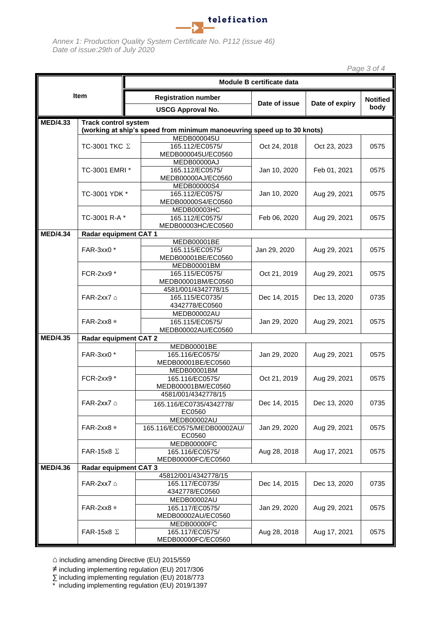

|                           |                              |                                                                                        |                                 |                 | Page 3 of 4 |
|---------------------------|------------------------------|----------------------------------------------------------------------------------------|---------------------------------|-----------------|-------------|
| Module B certificate data |                              |                                                                                        |                                 |                 |             |
| Item                      |                              | <b>Registration number</b>                                                             | Date of issue<br>Date of expiry | <b>Notified</b> |             |
|                           |                              | <b>USCG Approval No.</b>                                                               |                                 |                 | body        |
| <b>MED/4.33</b>           | <b>Track control system</b>  |                                                                                        |                                 |                 |             |
|                           |                              | (working at ship's speed from minimum manoeuvring speed up to 30 knots)<br>MEDB000045U |                                 |                 |             |
|                           | TC-3001 TKC $\Sigma$         | 165.112/EC0575/                                                                        | Oct 24, 2018                    | Oct 23, 2023    | 0575        |
|                           |                              | MEDB000045U/EC0560                                                                     |                                 |                 |             |
|                           |                              | MEDB00000AJ                                                                            |                                 |                 |             |
|                           | TC-3001 EMRI *               | 165.112/EC0575/                                                                        | Jan 10, 2020                    | Feb 01, 2021    | 0575        |
|                           |                              | MEDB00000AJ/EC0560                                                                     |                                 |                 |             |
|                           |                              | MEDB00000S4                                                                            |                                 |                 |             |
|                           | TC-3001 YDK *                | 165.112/EC0575/                                                                        | Jan 10, 2020                    | Aug 29, 2021    | 0575        |
|                           |                              | MEDB00000S4/EC0560                                                                     |                                 |                 |             |
|                           |                              | MEDB00003HC                                                                            |                                 |                 |             |
|                           | TC-3001 R-A *                | 165.112/EC0575/                                                                        | Feb 06, 2020                    | Aug 29, 2021    | 0575        |
|                           |                              | MEDB00003HC/EC0560                                                                     |                                 |                 |             |
| <b>MED/4.34</b>           | Radar equipment CAT 1        |                                                                                        |                                 |                 |             |
|                           |                              | MEDB00001BE<br>165.115/EC0575/                                                         |                                 |                 | 0575        |
|                           | FAR-3xx0 *                   | MEDB00001BE/EC0560                                                                     | Jan 29, 2020                    | Aug 29, 2021    |             |
|                           |                              | MEDB00001BM                                                                            |                                 |                 |             |
|                           | FCR-2xx9 *                   | 165.115/EC0575/                                                                        | Oct 21, 2019                    | Aug 29, 2021    | 0575        |
|                           |                              | MEDB00001BM/EC0560                                                                     |                                 |                 |             |
|                           |                              | 4581/001/4342778/15                                                                    |                                 |                 | 0735        |
|                           | FAR-2xx7 $\triangle$         | 165.115/EC0735/                                                                        | Dec 14, 2015                    | Dec 13, 2020    |             |
|                           |                              | 4342778/EC0560                                                                         |                                 |                 |             |
|                           |                              | MEDB00002AU                                                                            | Jan 29, 2020                    |                 | 0575        |
|                           | FAR-2xx8 *                   | 165.115/EC0575/                                                                        |                                 | Aug 29, 2021    |             |
|                           |                              | MEDB00002AU/EC0560                                                                     |                                 |                 |             |
| <b>MED/4.35</b>           | <b>Radar equipment CAT 2</b> |                                                                                        |                                 |                 |             |
|                           |                              | MEDB00001BE                                                                            |                                 |                 |             |
|                           | FAR-3xx0 *                   | 165.116/EC0575/                                                                        | Jan 29, 2020                    | Aug 29, 2021    | 0575        |
|                           |                              | MEDB00001BE/EC0560                                                                     |                                 |                 |             |
|                           | FCR-2xx9 *                   | MEDB00001BM<br>165.116/EC0575/                                                         | Oct 21, 2019                    | Aug 29, 2021    | 0575        |
|                           |                              | MEDB00001BM/EC0560                                                                     |                                 |                 |             |
|                           |                              | 4581/001/4342778/15                                                                    |                                 |                 |             |
|                           | FAR-2xx7 △                   | 165.116/EC0735/4342778/                                                                | Dec 14, 2015                    | Dec 13, 2020    | 0735        |
|                           |                              | EC0560                                                                                 |                                 |                 |             |
|                           |                              | <b>MEDB00002AU</b>                                                                     |                                 |                 |             |
|                           | FAR-2xx8 $*$                 | 165.116/EC0575/MEDB00002AU/                                                            | Jan 29, 2020                    | Aug 29, 2021    | 0575        |
|                           |                              | EC0560                                                                                 |                                 |                 |             |
|                           |                              | MEDB00000FC                                                                            |                                 |                 |             |
|                           | FAR-15x8 $\Sigma$            | 165.116/EC0575/                                                                        | Aug 28, 2018                    | Aug 17, 2021    | 0575        |
|                           |                              | MEDB00000FC/EC0560                                                                     |                                 |                 |             |
| <b>MED/4.36</b>           | <b>Radar equipment CAT 3</b> |                                                                                        |                                 |                 |             |
|                           |                              | 45812/001/4342778/15                                                                   | Dec 14, 2015                    | Dec 13, 2020    | 0735        |
|                           | FAR-2xx7 △                   | 165.117/EC0735/                                                                        |                                 |                 |             |
|                           |                              | 4342778/EC0560                                                                         |                                 |                 |             |
|                           |                              | MEDB00002AU                                                                            | Jan 29, 2020<br>Aug 29, 2021    |                 | 0575        |
|                           | FAR-2xx8 *                   | 165.117/EC0575/                                                                        |                                 |                 |             |
|                           |                              | MEDB00002AU/EC0560<br>MEDB00000FC                                                      |                                 |                 |             |
|                           | FAR-15x8 $\Sigma$            | 165.117/EC0575/                                                                        | Aug 28, 2018<br>Aug 17, 2021    |                 | 0575        |
|                           |                              | MEDB00000FC/EC0560                                                                     |                                 |                 |             |

⌂ including amending Directive (EU) 2015/559

≠ including implementing regulation (EU) 2017/306

∑ including implementing regulation (EU) 2018/773

\* including implementing regulation (EU) 2019/1397